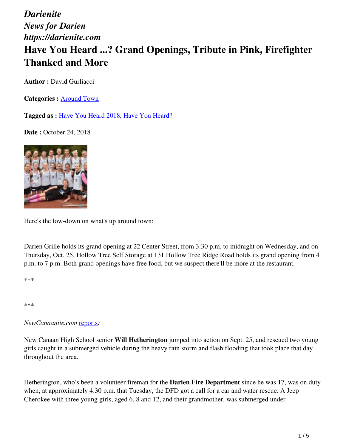# **Have You Heard ...? Grand Openings, Tribute in Pink, Firefighter Thanked and More**

**Author :** David Gurliacci

**Categories :** [Around Town](https://darienite.com/category/news/around-town)

**Tagged as :** Have You Heard 2018, Have You Heard?

**Date : October 24, 2018** 



Here's the low-down on what's up around town:

Darien Grille holds its grand opening at 22 Center Street, from 3:30 p.m. to midnight on Wednesday, and on Thursday, Oct. 25, Hollow Tree Self Storage at 131 Hollow Tree Ridge Road holds its grand opening from 4 p.m. to 7 p.m. Both grand openings have free food, but we suspect there'll be more at the restaurant.

\*\*\*

\*\*\*

*NewCanaanite.com* reports*:*

New Canaan High School senior **Will Hetherington** jumped into action on Sept. 25, and rescued two young girls caught in a submerged vehicle during the heavy rain storm and flash flooding that took place that day throughout the area.

Hetherington, who's been a volunteer fireman for the **Darien Fire Department** since he was 17, was on duty when, at approximately 4:30 p.m. that Tuesday, the DFD got a call for a car and water rescue. A Jeep Cherokee with three young girls, aged 6, 8 and 12, and their grandmother, was submerged under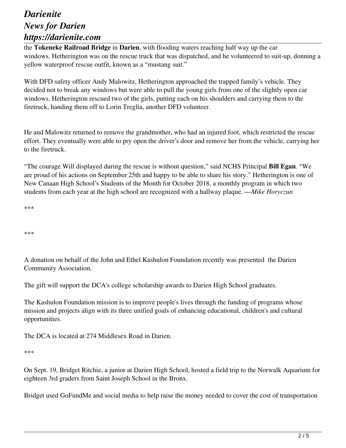the **Tokeneke Railroad Bridge** in **Darien**, with flooding waters reaching half way up the car windows. Hetherington was on the rescue truck that was dispatched, and he volunteered to suit-up, donning a yellow waterproof rescue outfit, known as a "mustang suit."

With DFD safety officer Andy Malowitz, Hetherington approached the trapped family's vehicle. They decided not to break any windows but were able to pull the young girls from one of the slightly open car windows. Hetherington rescued two of the girls, putting each on his shoulders and carrying them to the firetruck, handing them off to Lorin Treglia, another DFD volunteer.

He and Malowitz returned to remove the grandmother, who had an injured foot, which restricted the rescue effort. They eventually were able to pry open the driver's door and remove her from the vehicle, carrying her to the firetruck.

"The courage Will displayed during the rescue is without question," said NCHS Principal **Bill Egan**. "We are proud of his actions on September 25th and happy to be able to share his story." Hetherington is one of New Canaan High School's Students of the Month for October 2018, a monthly program in which two students from each year at the high school are recognized with a hallway plaque. —*Mike Horyczun*

\*\*\*

\*\*\*

A donation on behalf of the John and Ethel Kashulon Foundation recently was presented the Darien Community Association.

The gift will support the DCA's college scholarship awards to Darien High School graduates.

The Kashulon Foundation mission is to improve people's lives through the funding of programs whose mission and projects align with its three unified goals of enhancing educational, children's and cultural opportunities.

The DCA is located at 274 Middlesex Road in Darien.

\*\*\*

On Sept. 19, Bridget Ritchie, a junior at Darien High School, hosted a field trip to the Norwalk Aquarium for eighteen 3rd graders from Saint Joseph School in the Bronx.

Bridget used GoFundMe and social media to help raise the money needed to cover the cost of transportation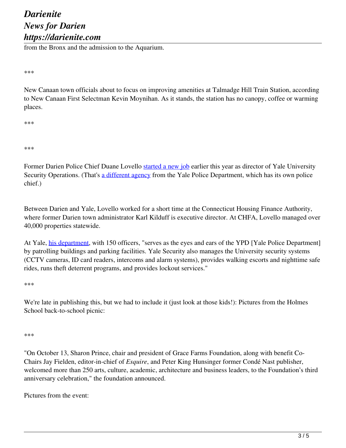from the Bronx and the admission to the Aquarium.

\*\*\*

New Canaan town officials about to focus on improving amenities at Talmadge Hill Train Station, according to New Canaan First Selectman Kevin Moynihan. As it stands, the station has no canopy, coffee or warming places.

\*\*\*

\*\*\*

Former Darien Police Chief Duane Lovello started a new job earlier this year as director of Yale University Security Operations. (That's a different agency from the Yale Police Department, which has its own police chief.)

Between Darien and Yale, Lovello worked for a short time at the Connecticut Housing Finance Authority, where former Darien town administrator Karl Kilduff is executive director. At CHFA, Lovello managed over 40,000 properties statewide.

At Yale, his department, with 150 officers, "serves as the eyes and ears of the YPD [Yale Police Department] by patrolling buildings and parking facilities. Yale Security also manages the University security systems (CCTV cameras, ID card readers, intercoms and alarm systems), provides walking escorts and nighttime safe rides, runs theft deterrent programs, and provides lockout services."

\*\*\*

We're late in publishing this, but we had to include it (just look at those kids!): Pictures from the Holmes School back-to-school picnic:

\*\*\*

"On October 13, Sharon Prince, chair and president of Grace Farms Foundation, along with benefit Co-Chairs Jay Fielden, editor-in-chief of *Esquire*, and Peter King Hunsinger former Condé Nast publisher, welcomed more than 250 arts, culture, academic, architecture and business leaders, to the Foundation's third anniversary celebration," the foundation announced.

Pictures from the event: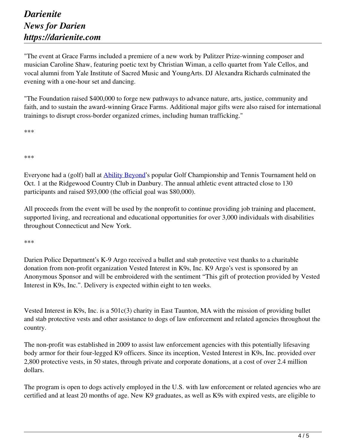"The event at Grace Farms included a premiere of a new work by Pulitzer Prize-winning composer and musician Caroline Shaw, featuring poetic text by Christian Wiman, a cello quartet from Yale Cellos, and vocal alumni from Yale Institute of Sacred Music and YoungArts. DJ Alexandra Richards culminated the evening with a one-hour set and dancing.

"The Foundation raised \$400,000 to forge new pathways to advance nature, arts, justice, community and faith, and to sustain the award-winning Grace Farms. Additional major gifts were also raised for international trainings to disrupt cross-border organized crimes, including human trafficking."

\*\*\*

\*\*\*

Everyone had a (golf) ball at **Ability Beyond's** popular Golf Championship and Tennis Tournament held on Oct. 1 at the Ridgewood Country Club in Danbury. The annual athletic event attracted close to 130 participants and raised \$93,000 (the official goal was \$80,000).

All proceeds from the event will be used by the nonprofit to continue providing job training and placement, supported living, and recreational and educational opportunities for over 3,000 individuals with disabilities throughout Connecticut and New York.

\*\*\*

Darien Police Department's K-9 Argo received a bullet and stab protective vest thanks to a charitable donation from non-profit organization Vested Interest in K9s, Inc. K9 Argo's vest is sponsored by an Anonymous Sponsor and will be embroidered with the sentiment "This gift of protection provided by Vested Interest in K9s, Inc.". Delivery is expected within eight to ten weeks.

Vested Interest in K9s, Inc. is a 501c(3) charity in East Taunton, MA with the mission of providing bullet and stab protective vests and other assistance to dogs of law enforcement and related agencies throughout the country.

The non-profit was established in 2009 to assist law enforcement agencies with this potentially lifesaving body armor for their four-legged K9 officers. Since its inception, Vested Interest in K9s, Inc. provided over 2,800 protective vests, in 50 states, through private and corporate donations, at a cost of over 2.4 million dollars.

The program is open to dogs actively employed in the U.S. with law enforcement or related agencies who are certified and at least 20 months of age. New K9 graduates, as well as K9s with expired vests, are eligible to